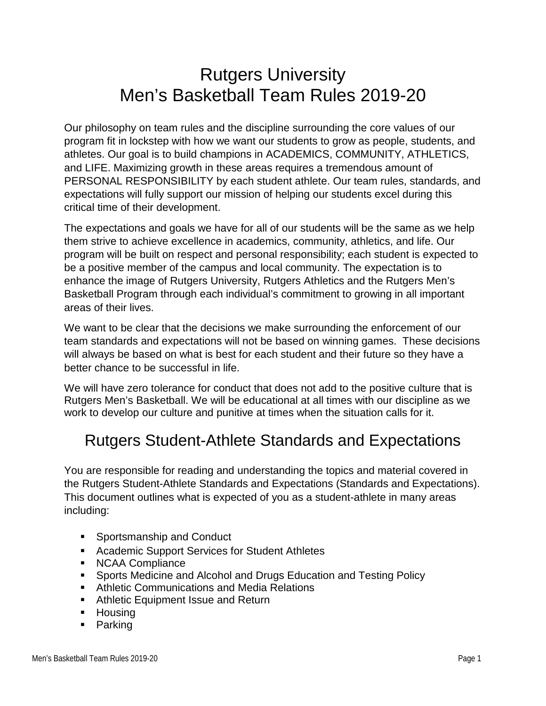# Rutgers University Men's Basketball Team Rules 2019-20

Our philosophy on team rules and the discipline surrounding the core values of our program fit in lockstep with how we want our students to grow as people, students, and athletes. Our goal is to build champions in ACADEMICS, COMMUNITY, ATHLETICS, and LIFE. Maximizing growth in these areas requires a tremendous amount of PERSONAL RESPONSIBILITY by each student athlete. Our team rules, standards, and expectations will fully support our mission of helping our students excel during this critical time of their development.

The expectations and goals we have for all of our students will be the same as we help them strive to achieve excellence in academics, community, athletics, and life. Our program will be built on respect and personal responsibility; each student is expected to be a positive member of the campus and local community. The expectation is to enhance the image of Rutgers University, Rutgers Athletics and the Rutgers Men's Basketball Program through each individual's commitment to growing in all important areas of their lives.

We want to be clear that the decisions we make surrounding the enforcement of our team standards and expectations will not be based on winning games. These decisions will always be based on what is best for each student and their future so they have a better chance to be successful in life.

We will have zero tolerance for conduct that does not add to the positive culture that is Rutgers Men's Basketball. We will be educational at all times with our discipline as we work to develop our culture and punitive at times when the situation calls for it.

#### Rutgers Student-Athlete Standards and Expectations

You are responsible for reading and understanding the topics and material covered in the Rutgers Student-Athlete Standards and Expectations (Standards and Expectations). This document outlines what is expected of you as a student-athlete in many areas including:

- **Sportsmanship and Conduct**
- **Academic Support Services for Student Athletes**
- NCAA Compliance
- **Sports Medicine and Alcohol and Drugs Education and Testing Policy**
- **Athletic Communications and Media Relations**
- **Athletic Equipment Issue and Return**
- **Housing**
- **Parking**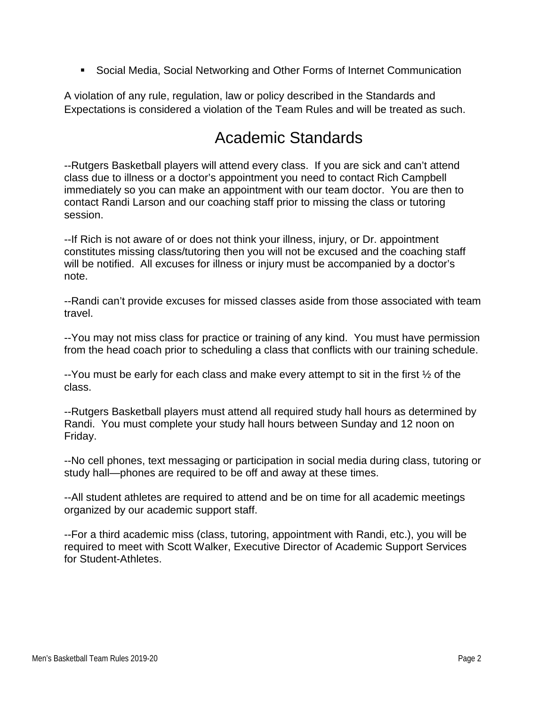Social Media, Social Networking and Other Forms of Internet Communication

A violation of any rule, regulation, law or policy described in the Standards and Expectations is considered a violation of the Team Rules and will be treated as such.

#### Academic Standards

--Rutgers Basketball players will attend every class. If you are sick and can't attend class due to illness or a doctor's appointment you need to contact Rich Campbell immediately so you can make an appointment with our team doctor. You are then to contact Randi Larson and our coaching staff prior to missing the class or tutoring session.

--If Rich is not aware of or does not think your illness, injury, or Dr. appointment constitutes missing class/tutoring then you will not be excused and the coaching staff will be notified. All excuses for illness or injury must be accompanied by a doctor's note.

--Randi can't provide excuses for missed classes aside from those associated with team travel.

--You may not miss class for practice or training of any kind. You must have permission from the head coach prior to scheduling a class that conflicts with our training schedule.

 $-$ You must be early for each class and make every attempt to sit in the first  $\frac{1}{2}$  of the class.

--Rutgers Basketball players must attend all required study hall hours as determined by Randi. You must complete your study hall hours between Sunday and 12 noon on Friday.

--No cell phones, text messaging or participation in social media during class, tutoring or study hall—phones are required to be off and away at these times.

--All student athletes are required to attend and be on time for all academic meetings organized by our academic support staff.

--For a third academic miss (class, tutoring, appointment with Randi, etc.), you will be required to meet with Scott Walker, Executive Director of Academic Support Services for Student-Athletes.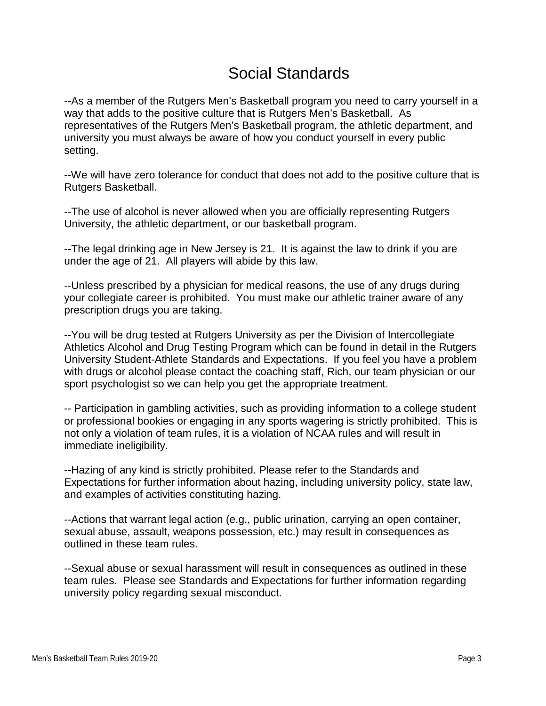# Social Standards

--As a member of the Rutgers Men's Basketball program you need to carry yourself in a way that adds to the positive culture that is Rutgers Men's Basketball. As representatives of the Rutgers Men's Basketball program, the athletic department, and university you must always be aware of how you conduct yourself in every public setting.

--We will have zero tolerance for conduct that does not add to the positive culture that is Rutgers Basketball.

--The use of alcohol is never allowed when you are officially representing Rutgers University, the athletic department, or our basketball program.

--The legal drinking age in New Jersey is 21. It is against the law to drink if you are under the age of 21. All players will abide by this law.

--Unless prescribed by a physician for medical reasons, the use of any drugs during your collegiate career is prohibited. You must make our athletic trainer aware of any prescription drugs you are taking.

--You will be drug tested at Rutgers University as per the Division of Intercollegiate Athletics Alcohol and Drug Testing Program which can be found in detail in the Rutgers University Student-Athlete Standards and Expectations. If you feel you have a problem with drugs or alcohol please contact the coaching staff, Rich, our team physician or our sport psychologist so we can help you get the appropriate treatment.

-- Participation in gambling activities, such as providing information to a college student or professional bookies or engaging in any sports wagering is strictly prohibited. This is not only a violation of team rules, it is a violation of NCAA rules and will result in immediate ineligibility.

--Hazing of any kind is strictly prohibited. Please refer to the Standards and Expectations for further information about hazing, including university policy, state law, and examples of activities constituting hazing.

--Actions that warrant legal action (e.g., public urination, carrying an open container, sexual abuse, assault, weapons possession, etc.) may result in consequences as outlined in these team rules.

--Sexual abuse or sexual harassment will result in consequences as outlined in these team rules. Please see Standards and Expectations for further information regarding university policy regarding sexual misconduct.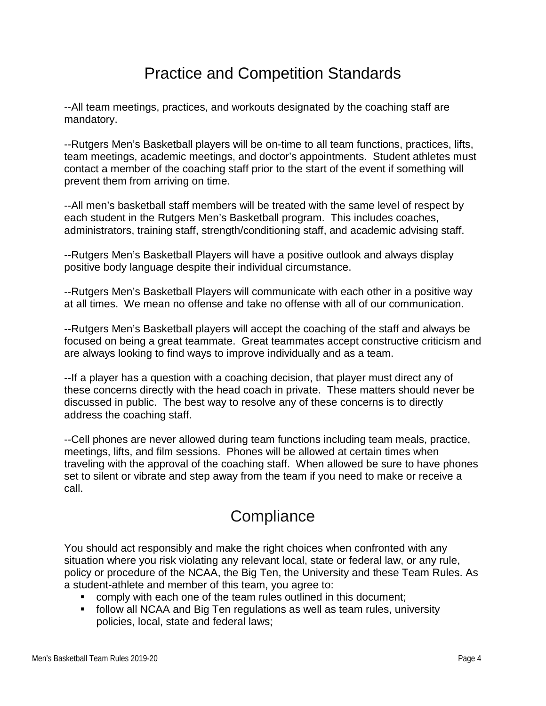### Practice and Competition Standards

--All team meetings, practices, and workouts designated by the coaching staff are mandatory.

--Rutgers Men's Basketball players will be on-time to all team functions, practices, lifts, team meetings, academic meetings, and doctor's appointments. Student athletes must contact a member of the coaching staff prior to the start of the event if something will prevent them from arriving on time.

--All men's basketball staff members will be treated with the same level of respect by each student in the Rutgers Men's Basketball program. This includes coaches, administrators, training staff, strength/conditioning staff, and academic advising staff.

--Rutgers Men's Basketball Players will have a positive outlook and always display positive body language despite their individual circumstance.

--Rutgers Men's Basketball Players will communicate with each other in a positive way at all times. We mean no offense and take no offense with all of our communication.

--Rutgers Men's Basketball players will accept the coaching of the staff and always be focused on being a great teammate. Great teammates accept constructive criticism and are always looking to find ways to improve individually and as a team.

--If a player has a question with a coaching decision, that player must direct any of these concerns directly with the head coach in private. These matters should never be discussed in public. The best way to resolve any of these concerns is to directly address the coaching staff.

--Cell phones are never allowed during team functions including team meals, practice, meetings, lifts, and film sessions. Phones will be allowed at certain times when traveling with the approval of the coaching staff. When allowed be sure to have phones set to silent or vibrate and step away from the team if you need to make or receive a call.

# **Compliance**

You should act responsibly and make the right choices when confronted with any situation where you risk violating any relevant local, state or federal law, or any rule, policy or procedure of the NCAA, the Big Ten, the University and these Team Rules. As a student-athlete and member of this team, you agree to:

- comply with each one of the team rules outlined in this document;
- follow all NCAA and Big Ten regulations as well as team rules, university policies, local, state and federal laws;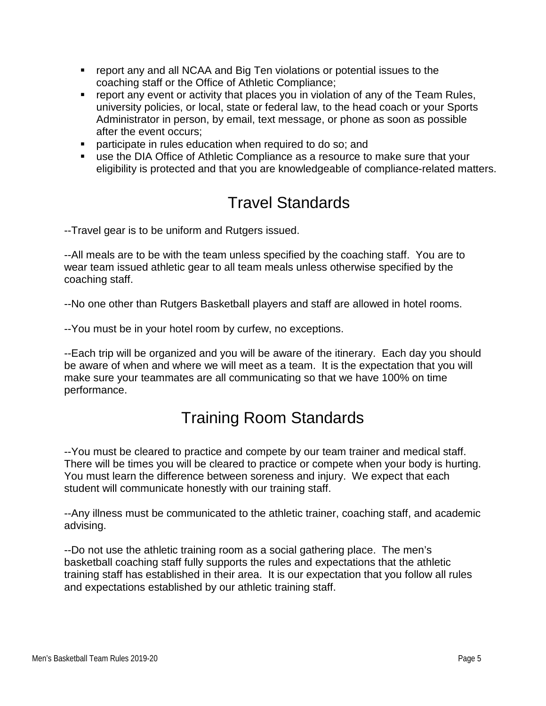- report any and all NCAA and Big Ten violations or potential issues to the coaching staff or the Office of Athletic Compliance;
- **•** report any event or activity that places you in violation of any of the Team Rules, university policies, or local, state or federal law, to the head coach or your Sports Administrator in person, by email, text message, or phone as soon as possible after the event occurs;
- **Perior** participate in rules education when required to do so; and
- use the DIA Office of Athletic Compliance as a resource to make sure that your eligibility is protected and that you are knowledgeable of compliance-related matters.

# Travel Standards

--Travel gear is to be uniform and Rutgers issued.

--All meals are to be with the team unless specified by the coaching staff. You are to wear team issued athletic gear to all team meals unless otherwise specified by the coaching staff.

--No one other than Rutgers Basketball players and staff are allowed in hotel rooms.

--You must be in your hotel room by curfew, no exceptions.

--Each trip will be organized and you will be aware of the itinerary. Each day you should be aware of when and where we will meet as a team. It is the expectation that you will make sure your teammates are all communicating so that we have 100% on time performance.

# Training Room Standards

--You must be cleared to practice and compete by our team trainer and medical staff. There will be times you will be cleared to practice or compete when your body is hurting. You must learn the difference between soreness and injury. We expect that each student will communicate honestly with our training staff.

--Any illness must be communicated to the athletic trainer, coaching staff, and academic advising.

--Do not use the athletic training room as a social gathering place. The men's basketball coaching staff fully supports the rules and expectations that the athletic training staff has established in their area. It is our expectation that you follow all rules and expectations established by our athletic training staff.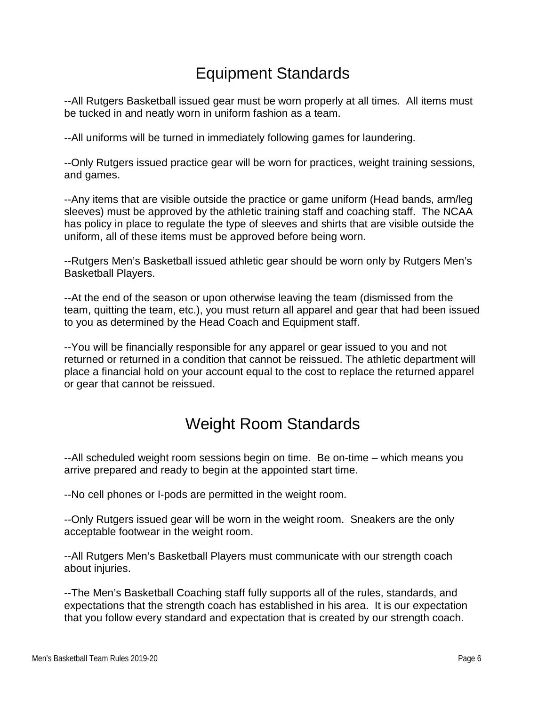# Equipment Standards

--All Rutgers Basketball issued gear must be worn properly at all times. All items must be tucked in and neatly worn in uniform fashion as a team.

--All uniforms will be turned in immediately following games for laundering.

--Only Rutgers issued practice gear will be worn for practices, weight training sessions, and games.

--Any items that are visible outside the practice or game uniform (Head bands, arm/leg sleeves) must be approved by the athletic training staff and coaching staff. The NCAA has policy in place to regulate the type of sleeves and shirts that are visible outside the uniform, all of these items must be approved before being worn.

--Rutgers Men's Basketball issued athletic gear should be worn only by Rutgers Men's Basketball Players.

--At the end of the season or upon otherwise leaving the team (dismissed from the team, quitting the team, etc.), you must return all apparel and gear that had been issued to you as determined by the Head Coach and Equipment staff.

--You will be financially responsible for any apparel or gear issued to you and not returned or returned in a condition that cannot be reissued. The athletic department will place a financial hold on your account equal to the cost to replace the returned apparel or gear that cannot be reissued.

### Weight Room Standards

--All scheduled weight room sessions begin on time. Be on-time – which means you arrive prepared and ready to begin at the appointed start time.

--No cell phones or I-pods are permitted in the weight room.

--Only Rutgers issued gear will be worn in the weight room. Sneakers are the only acceptable footwear in the weight room.

--All Rutgers Men's Basketball Players must communicate with our strength coach about injuries.

--The Men's Basketball Coaching staff fully supports all of the rules, standards, and expectations that the strength coach has established in his area. It is our expectation that you follow every standard and expectation that is created by our strength coach.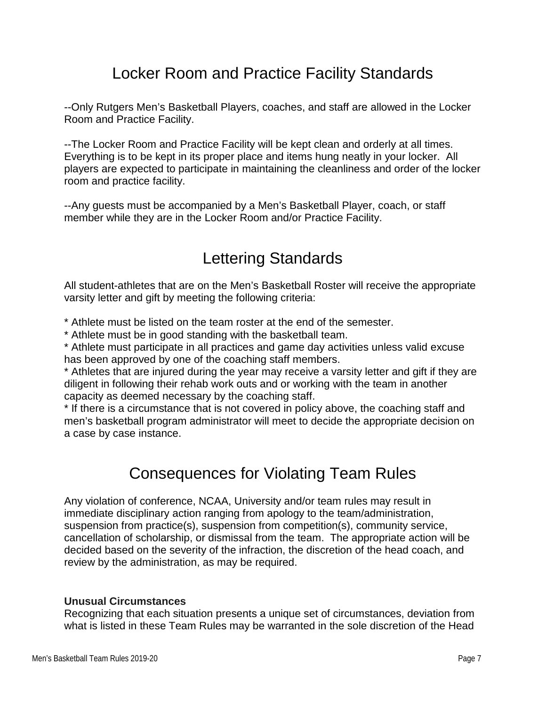## Locker Room and Practice Facility Standards

--Only Rutgers Men's Basketball Players, coaches, and staff are allowed in the Locker Room and Practice Facility.

--The Locker Room and Practice Facility will be kept clean and orderly at all times. Everything is to be kept in its proper place and items hung neatly in your locker. All players are expected to participate in maintaining the cleanliness and order of the locker room and practice facility.

--Any guests must be accompanied by a Men's Basketball Player, coach, or staff member while they are in the Locker Room and/or Practice Facility.

# Lettering Standards

All student-athletes that are on the Men's Basketball Roster will receive the appropriate varsity letter and gift by meeting the following criteria:

\* Athlete must be listed on the team roster at the end of the semester.

\* Athlete must be in good standing with the basketball team.

\* Athlete must participate in all practices and game day activities unless valid excuse has been approved by one of the coaching staff members.

\* Athletes that are injured during the year may receive a varsity letter and gift if they are diligent in following their rehab work outs and or working with the team in another capacity as deemed necessary by the coaching staff.

\* If there is a circumstance that is not covered in policy above, the coaching staff and men's basketball program administrator will meet to decide the appropriate decision on a case by case instance.

# Consequences for Violating Team Rules

Any violation of conference, NCAA, University and/or team rules may result in immediate disciplinary action ranging from apology to the team/administration, suspension from practice(s), suspension from competition(s), community service, cancellation of scholarship, or dismissal from the team. The appropriate action will be decided based on the severity of the infraction, the discretion of the head coach, and review by the administration, as may be required.

#### **Unusual Circumstances**

Recognizing that each situation presents a unique set of circumstances, deviation from what is listed in these Team Rules may be warranted in the sole discretion of the Head